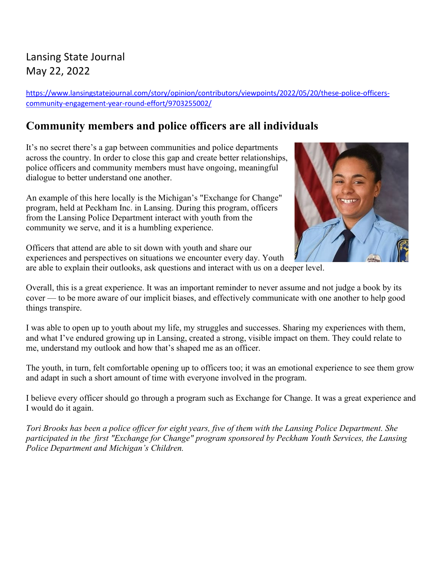## Lansing State Journal May 22, 2022

[https://www.lansingstatejournal.com/story/opinion/contributors/viewpoints/2022/05/20/these-police-officers](https://www.lansingstatejournal.com/story/opinion/contributors/viewpoints/2022/05/20/these-police-officers-community-engagement-year-round-effort/9703255002/)[community-engagement-year-round-effort/9703255002/](https://www.lansingstatejournal.com/story/opinion/contributors/viewpoints/2022/05/20/these-police-officers-community-engagement-year-round-effort/9703255002/)

# **Community members and police officers are all individuals**

It's no secret there's a gap between communities and police departments across the country. In order to close this gap and create better relationships, police officers and community members must have ongoing, meaningful dialogue to better understand one another.

An example of this here locally is the Michigan's "Exchange for Change" program, held at Peckham Inc. in Lansing. During this program, officers from the Lansing Police Department interact with youth from the community we serve, and it is a humbling experience.



Officers that attend are able to sit down with youth and share our experiences and perspectives on situations we encounter every day. Youth are able to explain their outlooks, ask questions and interact with us on a deeper level.

Overall, this is a great experience. It was an important reminder to never assume and not judge a book by its cover — to be more aware of our implicit biases, and effectively communicate with one another to help good things transpire.

I was able to open up to youth about my life, my struggles and successes. Sharing my experiences with them, and what I've endured growing up in Lansing, created a strong, visible impact on them. They could relate to me, understand my outlook and how that's shaped me as an officer.

The youth, in turn, felt comfortable opening up to officers too; it was an emotional experience to see them grow and adapt in such a short amount of time with everyone involved in the program.

I believe every officer should go through a program such as Exchange for Change. It was a great experience and I would do it again.

*Tori Brooks has been a police officer for eight years, five of them with the Lansing Police Department. She participated in the first "Exchange for Change" program sponsored by Peckham Youth Services, the Lansing Police Department and Michigan's Children.*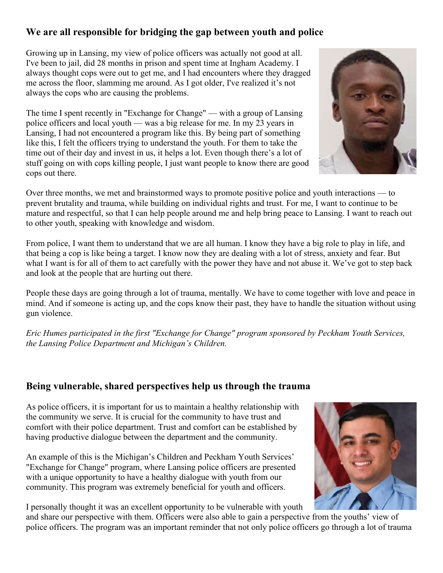### **We are all responsible for bridging the gap between youth and police**

Growing up in Lansing, my view of police officers was actually not good at all. I've been to jail, did 28 months in prison and spent time at Ingham Academy. I always thought cops were out to get me, and I had encounters where they dragged me across the floor, slamming me around. As I got older, I've realized it's not always the cops who are causing the problems.

The time I spent recently in "Exchange for Change" — with a group of Lansing police officers and local youth — was a big release for me. In my 23 years in Lansing, I had not encountered a program like this. By being part of something like this, I felt the officers trying to understand the youth. For them to take the time out of their day and invest in us, it helps a lot. Even though there's a lot of stuff going on with cops killing people, I just want people to know there are good cops out there.

Over three months, we met and brainstormed ways to promote positive police and youth interactions — to prevent brutality and trauma, while building on individual rights and trust. For me, I want to continue to be mature and respectful, so that I can help people around me and help bring peace to Lansing. I want to reach out to other youth, speaking with knowledge and wisdom.

From police, I want them to understand that we are all human. I know they have a big role to play in life, and that being a cop is like being a target. I know now they are dealing with a lot of stress, anxiety and fear. But what I want is for all of them to act carefully with the power they have and not abuse it. We've got to step back and look at the people that are hurting out there.

People these days are going through a lot of trauma, mentally. We have to come together with love and peace in mind. And if someone is acting up, and the cops know their past, they have to handle the situation without using gun violence.

*Eric Humes participated in the first "Exchange for Change" program sponsored by Peckham Youth Services, the Lansing Police Department and Michigan's Children.*

#### **Being vulnerable, shared perspectives help us through the trauma**

As police officers, it is important for us to maintain a healthy relationship with the community we serve. It is crucial for the community to have trust and comfort with their police department. Trust and comfort can be established by having productive dialogue between the department and the community.

An example of this is the Michigan's Children and Peckham Youth Services' "Exchange for Change" program, where Lansing police officers are presented with a unique opportunity to have a healthy dialogue with youth from our community. This program was extremely beneficial for youth and officers.

I personally thought it was an excellent opportunity to be vulnerable with youth

and share our perspective with them. Officers were also able to gain a perspective from the youths' view of police officers. The program was an important reminder that not only police officers go through a lot of trauma



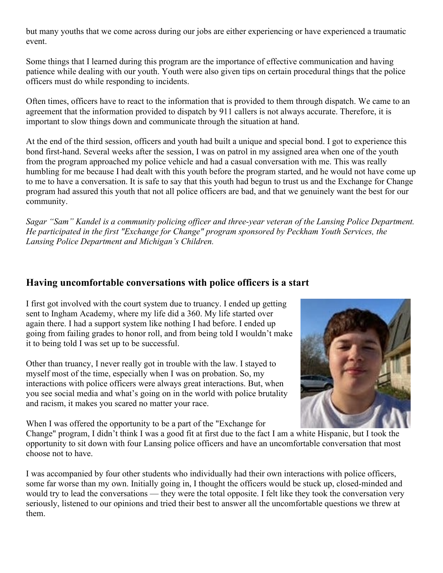but many youths that we come across during our jobs are either experiencing or have experienced a traumatic event.

Some things that I learned during this program are the importance of effective communication and having patience while dealing with our youth. Youth were also given tips on certain procedural things that the police officers must do while responding to incidents.

Often times, officers have to react to the information that is provided to them through dispatch. We came to an agreement that the information provided to dispatch by 911 callers is not always accurate. Therefore, it is important to slow things down and communicate through the situation at hand.

At the end of the third session, officers and youth had built a unique and special bond. I got to experience this bond first-hand. Several weeks after the session, I was on patrol in my assigned area when one of the youth from the program approached my police vehicle and had a casual conversation with me. This was really humbling for me because I had dealt with this youth before the program started, and he would not have come up to me to have a conversation. It is safe to say that this youth had begun to trust us and the Exchange for Change program had assured this youth that not all police officers are bad, and that we genuinely want the best for our community.

*Sagar "Sam" Kandel is a community policing officer and three-year veteran of the Lansing Police Department. He participated in the first "Exchange for Change" program sponsored by Peckham Youth Services, the Lansing Police Department and Michigan's Children.*

#### **Having uncomfortable conversations with police officers is a start**

I first got involved with the court system due to truancy. I ended up getting sent to Ingham Academy, where my life did a 360. My life started over again there. I had a support system like nothing I had before. I ended up going from failing grades to honor roll, and from being told I wouldn't make it to being told I was set up to be successful.

Other than truancy, I never really got in trouble with the law. I stayed to myself most of the time, especially when I was on probation. So, my interactions with police officers were always great interactions. But, when you see social media and what's going on in the world with police brutality and racism, it makes you scared no matter your race.



When I was offered the opportunity to be a part of the "Exchange for

Change" program, I didn't think I was a good fit at first due to the fact I am a white Hispanic, but I took the opportunity to sit down with four Lansing police officers and have an uncomfortable conversation that most choose not to have.

I was accompanied by four other students who individually had their own interactions with police officers, some far worse than my own. Initially going in, I thought the officers would be stuck up, closed-minded and would try to lead the conversations — they were the total opposite. I felt like they took the conversation very seriously, listened to our opinions and tried their best to answer all the uncomfortable questions we threw at them.